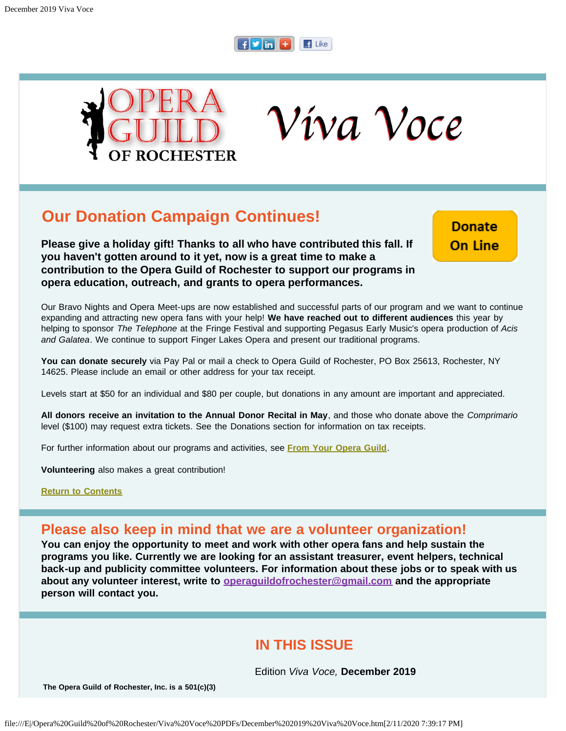



Víva Voce

# **Our Donation Campaign Continues!**

**Please give a holiday gift! Thanks to all who have contributed this fall. If you haven't gotten around to it yet, now is a great time to make a contribution to the Opera Guild of Rochester to support our programs in opera education, outreach, and grants to opera performances.**

**Donate On Line** 

Our Bravo Nights and Opera Meet-ups are now established and successful parts of our program and we want to continue expanding and attracting new opera fans with your help! **We have reached out to different audiences** this year by helping to sponsor *The Telephone* at the Fringe Festival and supporting Pegasus Early Music's opera production of *Acis and Galatea*. We continue to support Finger Lakes Opera and present our traditional programs.

**You can donate securely** via Pay Pal or mail a check to Opera Guild of Rochester, PO Box 25613, Rochester, NY 14625. Please include an email or other address for your tax receipt.

Levels start at \$50 for an individual and \$80 per couple, but donations in any amount are important and appreciated.

**All donors receive an invitation to the Annual Donor Recital in May**, and those who donate above the *Comprimario* level (\$100) may request extra tickets. See the Donations section for information on tax receipts.

For further information about our programs and activities, see **[From Your Opera Guild](#page-11-0)**.

**Volunteering** also makes a great contribution!

**[Return to Contents](#page-0-0)**

## **Please also keep in mind that we are a volunteer organization!**

**You can enjoy the opportunity to meet and work with other opera fans and help sustain the programs you like. Currently we are looking for an assistant treasurer, event helpers, technical back-up and publicity committee volunteers. For information about these jobs or to speak with us about any volunteer interest, write to [operaguildofrochester@gmail.com](mailto:operaguildofrochester@gmail.com) and the appropriate person will contact you.**

## **IN THIS ISSUE**

Edition *Viva Voce,* **December 2019**

<span id="page-0-0"></span>**The Opera Guild of Rochester, Inc. is a 501(c)(3)**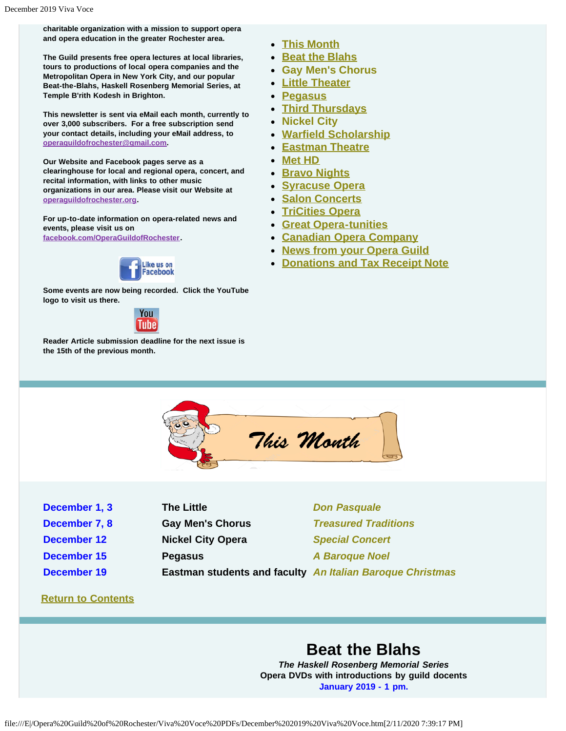**charitable organization with a mission to support opera and opera education in the greater Rochester area.**

**The Guild presents free opera lectures at local libraries, tours to productions of local opera companies and the Metropolitan Opera in New York City, and our popular Beat-the-Blahs, Haskell Rosenberg Memorial Series, at Temple B'rith Kodesh in Brighton.**

**This newsletter is sent via eMail each month, currently to over 3,000 subscribers. For a free subscription send your contact details, including your eMail address, to [operaguildofrochester@gmail.com.](mailto:operaguildofrochester@gmail.com)**

**Our Website and Facebook pages serve as a clearinghouse for local and regional opera, concert, and recital information, with links to other music organizations in our area. Please visit our Website at [operaguildofrochester.org](http://operaguildofrochester.org/).**

**For up-to-date information on opera-related news and events, please visit us on [facebook.com/OperaGuildofRochester](http://facebook.com/OperaGuildofRochester).**



**Some events are now being recorded. Click the YouTube logo to visit us there.**



<span id="page-1-0"></span>**Reader Article submission deadline for the next issue is the 15th of the previous month.**

- **[This Month](#page-1-0)**
- **[Beat the Blahs](#page-2-0)**
- **[Gay Men's Chorus](#page-2-1)**
- **[Little Theater](#page-3-0)**
- **[Pegasus](#page-3-1)**
- **[Third Thursdays](#page-4-0)**
- **[Nickel City](#page-5-0)**
- **[Warfield Scholarship](#page-5-1)**
- **[Eastman Theatre](#page-6-0)**
- **[Met HD](#page-7-0)**
- **[Bravo Nights](#page-8-0)**
- **[Syracuse Opera](#page-8-1)**
- **[Salon Concerts](#page-9-0)**
- **[TriCities Opera](#page-9-1)**
- **[Great Opera-tunities](#page-10-0)**
- **[Canadian Opera Company](#page-11-1)**
- **[News from your Opera Guild](#page-11-0)**
- **[Donations and Tax Receipt Note](#page-12-0)**



- **December 1, 3 The Little** *[Don Pasquale](#page-3-0)*
- 
- 
- 
- 

**December 12 Nickel City Opera** *[Special Concert](#page-5-0)* **December 15 Pegasus** *[A Baroque Noel](#page-3-1)*

**December 7, 8 Gay Men's Chorus** *[Treasured Traditions](#page-2-1)*

**December 19 Eastman students and faculty** *[An Italian Baroque Christmas](#page-4-0)*

### **[Return to Contents](#page-0-0)**

## **Beat the Blahs**

*The Haskell Rosenberg Memorial Series* **Opera DVDs with introductions by guild docents January 2019 - 1 pm.**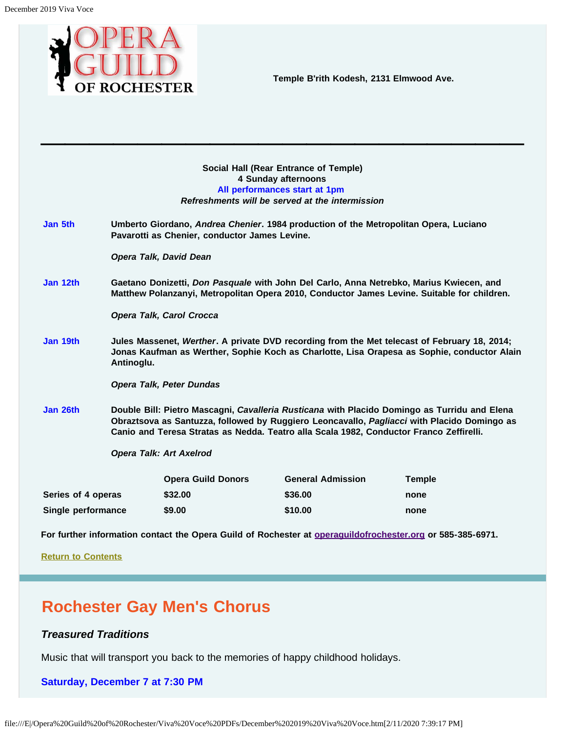<span id="page-2-0"></span>

**Temple B'rith Kodesh, 2131 Elmwood Ave.**

| Social Hall (Rear Entrance of Temple)           |  |  |  |
|-------------------------------------------------|--|--|--|
| 4 Sunday afternoons                             |  |  |  |
| All performances start at 1pm                   |  |  |  |
| Refreshments will be served at the intermission |  |  |  |

**\_\_\_\_\_\_\_\_\_\_\_\_\_\_\_\_\_\_\_\_**

**Jan 5th Umberto Giordano,** *Andrea Chenier***. 1984 production of the Metropolitan Opera, Luciano Pavarotti as Chenier, conductor James Levine.**

*Opera Talk, David Dean*

**Jan 12th Gaetano Donizetti,** *Don Pasquale* **with John Del Carlo, Anna Netrebko, Marius Kwiecen, and Matthew Polanzanyi, Metropolitan Opera 2010, Conductor James Levine. Suitable for children.**

*Opera Talk, Carol Crocca*

**Jan 19th Jules Massenet,** *Werther***. A private DVD recording from the Met telecast of February 18, 2014; Jonas Kaufman as Werther, Sophie Koch as Charlotte, Lisa Orapesa as Sophie, conductor Alain Antinoglu.**

*Opera Talk, Peter Dundas*

**Jan 26th Double Bill: Pietro Mascagni,** *Cavalleria Rusticana* **with Placido Domingo as Turridu and Elena Obraztsova as Santuzza, followed by Ruggiero Leoncavallo,** *Pagliacci* **with Placido Domingo as Canio and Teresa Stratas as Nedda. Teatro alla Scala 1982, Conductor Franco Zeffirelli.**

*Opera Talk: Art Axelrod*

|                    | <b>Opera Guild Donors</b> | <b>General Admission</b> | <b>Temple</b> |
|--------------------|---------------------------|--------------------------|---------------|
| Series of 4 operas | \$32.00                   | \$36.00                  | none          |
| Single performance | \$9.00                    | \$10.00                  | none          |

**For further information contact the Opera Guild of Rochester at [operaguildofrochester.org](http://operaguildofrochester.org/) or 585-385-6971.**

**[Return to Contents](#page-0-0)**

# <span id="page-2-1"></span>**Rochester Gay Men's Chorus**

## *Treasured Traditions*

Music that will transport you back to the memories of happy childhood holidays.

#### **Saturday, December 7 at 7:30 PM**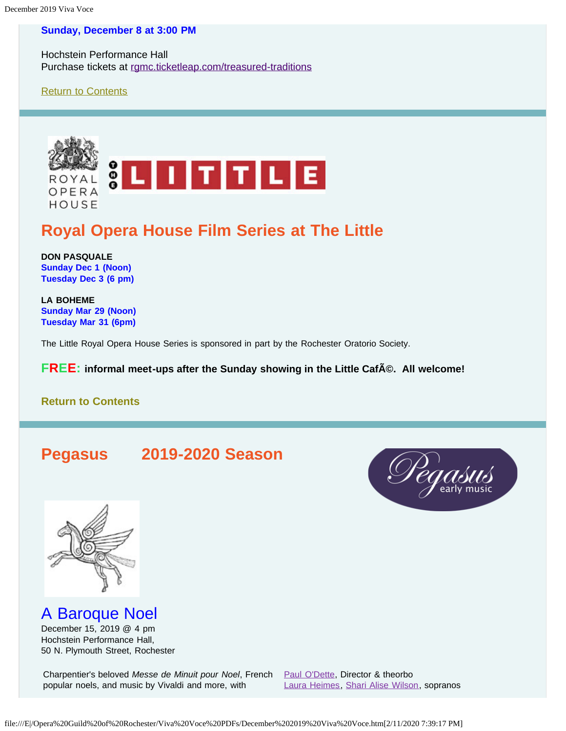## **Sunday, December 8 at 3:00 PM**

Hochstein Performance Hall Purchase tickets at [rgmc.ticketleap.com/treasured-traditions](http://rgmc.ticketleap.com/treasured-traditions)

[Return to Contents](#page-0-0)

<span id="page-3-0"></span>

# **Royal Opera House Film Series at The Little**

**DON PASQUALE Sunday Dec 1 (Noon) Tuesday Dec 3 (6 pm)**

**LA BOHEME Sunday Mar 29 (Noon) Tuesday Mar 31 (6pm)**

The Little Royal Opera House Series is sponsored in part by the Rochester Oratorio Society.

**FREE:** informal meet-ups after the Sunday showing in the Little CafA©. All welcome!

## **[Return to Contents](#page-0-0)**

# <span id="page-3-1"></span>**Pegasus 2019-2020 Season**





A Baroque Noel

December 15, 2019 @ 4 pm Hochstein Performance Hall, 50 N. Plymouth Street, Rochester

Charpentier's beloved *Messe de Minuit pour Noel*, French [Paul O'Dette](https://www.pegasusearlymusic.org/artist/paul-odette/), Director & theorbo popular noels, and music by Vivaldi and more, with

[Laura Heimes](https://www.pegasusearlymusic.org/artist/laura-heimes-2/), [Shari Alise Wilson](https://www.pegasusearlymusic.org/artist/shari-alise-wilson/), sopranos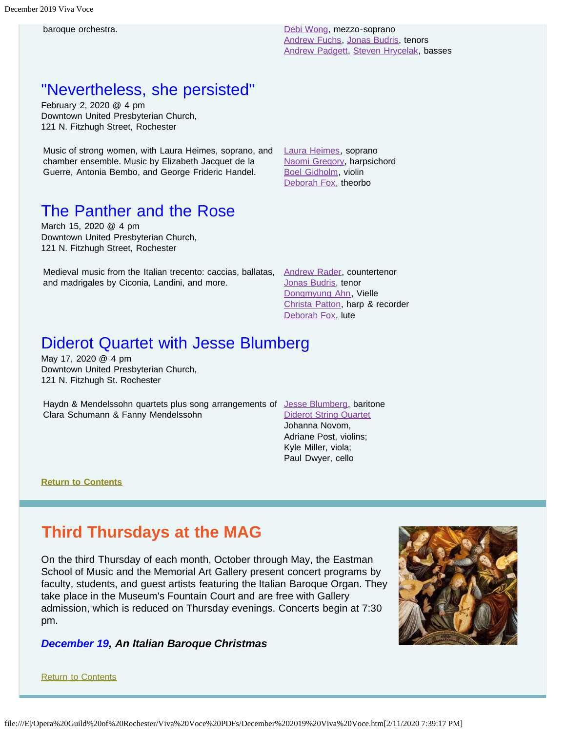baroque orchestra. [Debi Wong](https://www.pegasusearlymusic.org/artist/debi-wong/), mezzo-soprano [Andrew Fuchs](https://www.pegasusearlymusic.org/artist/andrew-fuchs/), [Jonas Budris,](https://www.pegasusearlymusic.org/artist/jonas-budris/) tenors [Andrew Padgett](https://www.pegasusearlymusic.org/artist/andrew-padgett/), [Steven Hrycelak](https://www.pegasusearlymusic.org/artist/steven-hrycelak/), basses

## "Nevertheless, she persisted"

February 2, 2020 @ 4 pm Downtown United Presbyterian Church, 121 N. Fitzhugh Street, Rochester

Music of strong women, with Laura Heimes, soprano, and chamber ensemble. Music by Elizabeth Jacquet de la Guerre, Antonia Bembo, and George Frideric Handel.

[Laura Heimes](https://www.pegasusearlymusic.org/artist/laura-heimes-2/), soprano [Naomi Gregory](https://www.pegasusearlymusic.org/artist/naomi-gregory/), harpsichord [Boel Gidholm](https://www.pegasusearlymusic.org/artist/boel-gidholm/), violin [Deborah Fox](https://www.pegasusearlymusic.org/artist/deborah-fox/), theorbo

# The Panther and the Rose

March 15, 2020 @ 4 pm Downtown United Presbyterian Church, 121 N. Fitzhugh Street, Rochester

Medieval music from the Italian trecento: caccias, ballatas, [Andrew Rader](https://www.pegasusearlymusic.org/artist/andrew-rader/), countertenor and madrigales by Ciconia, Landini, and more.

[Jonas Budris](https://www.pegasusearlymusic.org/artist/jonas-budris/), tenor [Dongmyung Ahn](https://www.pegasusearlymusic.org/artist/dongmyung-ahn/), Vielle [Christa Patton](https://www.pegasusearlymusic.org/artist/christa-patton/), harp & recorder [Deborah Fox](https://www.pegasusearlymusic.org/artist/deborah-fox/), lute

# Diderot Quartet with Jesse Blumberg

May 17, 2020 @ 4 pm Downtown United Presbyterian Church, 121 N. Fitzhugh St. Rochester

Haydn & Mendelssohn quartets plus song arrangements of [Jesse Blumberg](https://www.pegasusearlymusic.org/artist/jesse-blumberg/), baritone Clara Schumann & Fanny Mendelssohn

[Diderot String Quartet](https://www.pegasusearlymusic.org/artist/diderot-string-quartet/) Johanna Novom, Adriane Post, violins; Kyle Miller, viola; Paul Dwyer, cello

**[Return to Contents](#page-0-0)**

## <span id="page-4-0"></span>**Third Thursdays at the MAG**

On the third Thursday of each month, October through May, the Eastman School of Music and the Memorial Art Gallery present concert programs by faculty, students, and guest artists featuring the Italian Baroque Organ. They take place in the Museum's Fountain Court and are free with Gallery admission, which is reduced on Thursday evenings. Concerts begin at 7:30 pm.

## *December 19, An Italian Baroque Christmas*

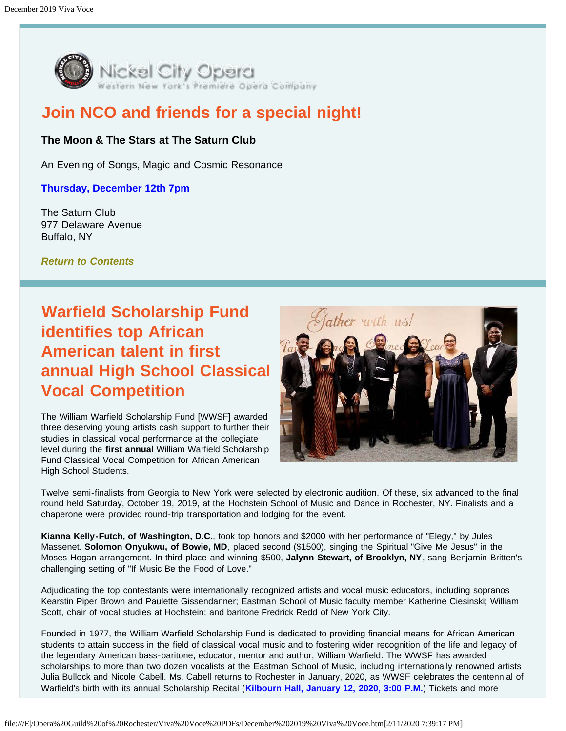

# <span id="page-5-0"></span>**Join NCO and friends for a special night!**

## **The Moon & The Stars at The Saturn Club**

An Evening of Songs, Magic and Cosmic Resonance

## **Thursday, December 12th 7pm**

The Saturn Club 977 Delaware Avenue Buffalo, NY

*[Return to Contents](#page-0-0)*

# <span id="page-5-1"></span>**Warfield Scholarship Fund identifies top African American talent in first annual High School Classical Vocal Competition**

The William Warfield Scholarship Fund [WWSF] awarded three deserving young artists cash support to further their studies in classical vocal performance at the collegiate level during the **first annual** William Warfield Scholarship Fund Classical Vocal Competition for African American High School Students.



Twelve semi-finalists from Georgia to New York were selected by electronic audition. Of these, six advanced to the final round held Saturday, October 19, 2019, at the Hochstein School of Music and Dance in Rochester, NY. Finalists and a chaperone were provided round-trip transportation and lodging for the event.

**Kianna Kelly-Futch, of Washington, D.C.**, took top honors and \$2000 with her performance of "Elegy," by Jules Massenet. **Solomon Onyukwu, of Bowie, MD**, placed second (\$1500), singing the Spiritual "Give Me Jesus" in the Moses Hogan arrangement. In third place and winning \$500, **Jalynn Stewart, of Brooklyn, NY**, sang Benjamin Britten's challenging setting of "If Music Be the Food of Love."

Adjudicating the top contestants were internationally recognized artists and vocal music educators, including sopranos Kearstin Piper Brown and Paulette Gissendanner; Eastman School of Music faculty member Katherine Ciesinski; William Scott, chair of vocal studies at Hochstein; and baritone Fredrick Redd of New York City.

Founded in 1977, the William Warfield Scholarship Fund is dedicated to providing financial means for African American students to attain success in the field of classical vocal music and to fostering wider recognition of the life and legacy of the legendary American bass-baritone, educator, mentor and author, William Warfield. The WWSF has awarded scholarships to more than two dozen vocalists at the Eastman School of Music, including internationally renowned artists Julia Bullock and Nicole Cabell. Ms. Cabell returns to Rochester in January, 2020, as WWSF celebrates the centennial of Warfield's birth with its annual Scholarship Recital (**Kilbourn Hall, January 12, 2020, 3:00 P.M.**) Tickets and more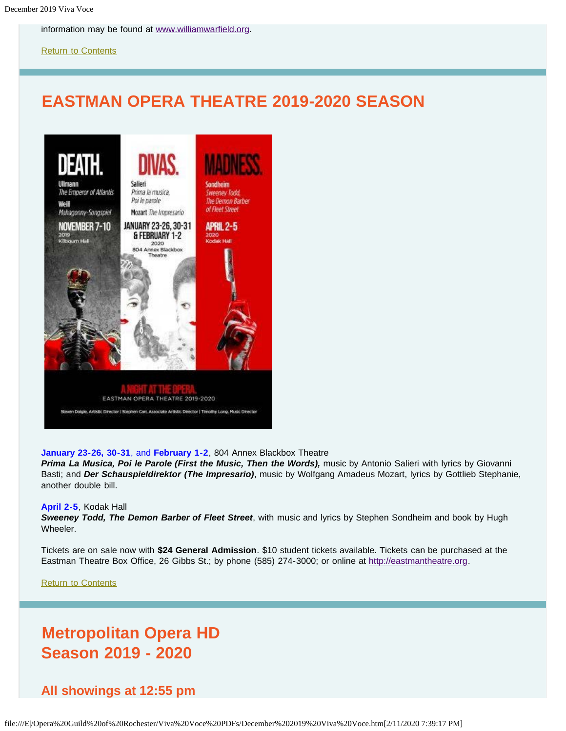information may be found at [www.williamwarfield.org.](http://www.williamwarfield.org/)

[Return to Contents](#page-0-0)

# <span id="page-6-0"></span>**EASTMAN OPERA THEATRE 2019-2020 SEASON**



#### **January 23-26, 30-31**, and **February 1-2**, 804 Annex Blackbox Theatre

*Prima La Musica, Poi le Parole (First the Music, Then the Words),* music by Antonio Salieri with lyrics by Giovanni Basti; and *Der Schauspieldirektor (The Impresario)*, music by Wolfgang Amadeus Mozart, lyrics by Gottlieb Stephanie, another double bill.

#### **April 2-5**, Kodak Hall

*Sweeney Todd, The Demon Barber of Fleet Street*, with music and lyrics by Stephen Sondheim and book by Hugh Wheeler.

Tickets are on sale now with **\$24 General Admission**. \$10 student tickets available. Tickets can be purchased at the Eastman Theatre Box Office, 26 Gibbs St.; by phone (585) 274-3000; or online at [http://eastmantheatre.org](http://www.eastmantheatre.org/).

[Return to Contents](#page-0-0)

# **Metropolitan Opera HD Season 2019 - 2020**

**All showings at 12:55 pm**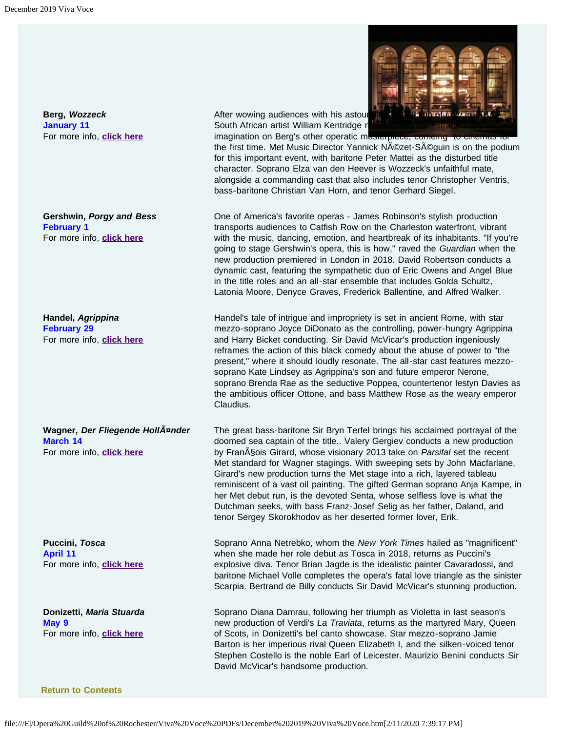<span id="page-7-0"></span>**Berg,** *Wozzeck*  **January 11**  For more info, **[click here](https://www.metopera.org/season/in-cinemas/2019-20-season/wozzeck-live-in-hd/)**

**Gershwin,** *Porgy and Bess* **February 1**  For more info, **[click here](https://www.metopera.org/season/in-cinemas/2019-20-season/porgy-and-bess-live-in-hd/)**

**Handel,** *Agrippina*  **February 29**  For more info, **[click here](https://www.metopera.org/season/in-cinemas/2019-20-season/agrippina-live-in-hd/)**

**Wagner,** *Der Fliegende Holländer*  **March 14**  For more info, **[click here](https://www.metopera.org/season/in-cinemas/2019-20-season/der-fliegende-hollander-live-in-hd/)**

**Puccini,** *Tosca*  **April 11**  For more info, **[click here](https://www.metopera.org/season/in-cinemas/2019-20-season/tosca-live-in-hd/)**

**Donizetti,** *Maria Stuarda*  **May 9**  For more info, **[click here](https://www.metopera.org/season/in-cinemas/2019-20-season/maria-stuarda-live-in-hd/)**

After wowing audiences with his astour South African artist William Kentridge now

imagination on Berg's other operatic masterpiece, comeing to cinem the first time. Met Music Director Yannick Nézet-Séguin is on the podium for this important event, with baritone Peter Mattei as the disturbed title character. Soprano Elza van den Heever is Wozzeck's unfaithful mate, alongside a commanding cast that also includes tenor Christopher Ventris, bass-baritone Christian Van Horn, and tenor Gerhard Siegel.

One of America's favorite operas - James Robinson's stylish production transports audiences to Catfish Row on the Charleston waterfront, vibrant with the music, dancing, emotion, and heartbreak of its inhabitants. "If you're going to stage Gershwin's opera, this is how," raved the *Guardian* when the new production premiered in London in 2018. David Robertson conducts a dynamic cast, featuring the sympathetic duo of Eric Owens and Angel Blue in the title roles and an all-star ensemble that includes Golda Schultz, Latonia Moore, Denyce Graves, Frederick Ballentine, and Alfred Walker.

Handel's tale of intrigue and impropriety is set in ancient Rome, with star mezzo-soprano Joyce DiDonato as the controlling, power-hungry Agrippina and Harry Bicket conducting. Sir David McVicar's production ingeniously reframes the action of this black comedy about the abuse of power to "the present," where it should loudly resonate. The all-star cast features mezzosoprano Kate Lindsey as Agrippina's son and future emperor Nerone, soprano Brenda Rae as the seductive Poppea, countertenor Iestyn Davies as the ambitious officer Ottone, and bass Matthew Rose as the weary emperor Claudius.

The great bass-baritone Sir Bryn Terfel brings his acclaimed portrayal of the doomed sea captain of the title.. Valery Gergiev conducts a new production by Fran<sub>A</sub> Sois Girard, whose visionary 2013 take on *Parsifal* set the recent Met standard for Wagner stagings. With sweeping sets by John Macfarlane, Girard's new production turns the Met stage into a rich, layered tableau reminiscent of a vast oil painting. The gifted German soprano Anja Kampe, in her Met debut run, is the devoted Senta, whose selfless love is what the Dutchman seeks, with bass Franz-Josef Selig as her father, Daland, and tenor Sergey Skorokhodov as her deserted former lover, Erik.

Soprano Anna Netrebko, whom the *New York Times* hailed as "magnificent" when she made her role debut as Tosca in 2018, returns as Puccini's explosive diva. Tenor Brian Jagde is the idealistic painter Cavaradossi, and baritone Michael Volle completes the opera's fatal love triangle as the sinister Scarpia. Bertrand de Billy conducts Sir David McVicar's stunning production.

Soprano Diana Damrau, following her triumph as Violetta in last season's new production of Verdi's *La Traviata*, returns as the martyred Mary, Queen of Scots, in Donizetti's bel canto showcase. Star mezzo-soprano Jamie Barton is her imperious rival Queen Elizabeth I, and the silken-voiced tenor Stephen Costello is the noble Earl of Leicester. Maurizio Benini conducts Sir David McVicar's handsome production.

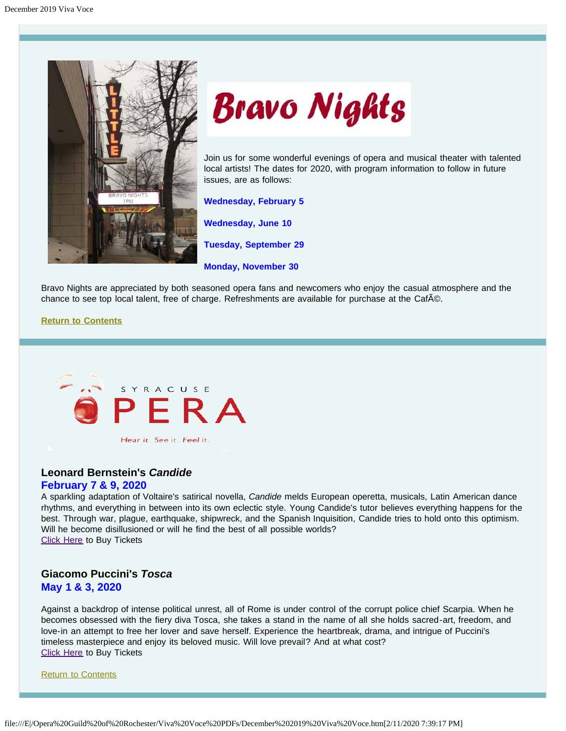<span id="page-8-0"></span>



Join us for some wonderful evenings of opera and musical theater with talented local artists! The dates for 2020, with program information to follow in future issues, are as follows:

**Wednesday, February 5**

**Wednesday, June 10**

**Tuesday, September 29**

**Monday, November 30**

Bravo Nights are appreciated by both seasoned opera fans and newcomers who enjoy the casual atmosphere and the chance to see top local talent, free of charge. Refreshments are available for purchase at the CafAO.

#### **[Return to Contents](#page-0-0)**

<span id="page-8-1"></span>

Hear it. See it. Feel it.

## **Leonard Bernstein's** *Candide*

## **February 7 & 9, 2020**

A sparkling adaptation of Voltaire's satirical novella, *Candide* melds European operetta, musicals, Latin American dance rhythms, and everything in between into its own eclectic style. Young Candide's tutor believes everything happens for the best. Through war, plague, earthquake, shipwreck, and the Spanish Inquisition, Candide tries to hold onto this optimism. Will he become disillusioned or will he find the best of all possible worlds? [Click Here](https://www.syracuseopera.org/subscriptions) to Buy Tickets

## **Giacomo Puccini's** *Tosca* **May 1 & 3, 2020**

Against a backdrop of intense political unrest, all of Rome is under control of the corrupt police chief Scarpia. When he becomes obsessed with the fiery diva Tosca, she takes a stand in the name of all she holds sacred-art, freedom, and love-in an attempt to free her lover and save herself. Experience the heartbreak, drama, and intrigue of Puccini's timeless masterpiece and enjoy its beloved music. Will love prevail? And at what cost? [Click Here](https://www.syracuseopera.org/subscriptions) to Buy Tickets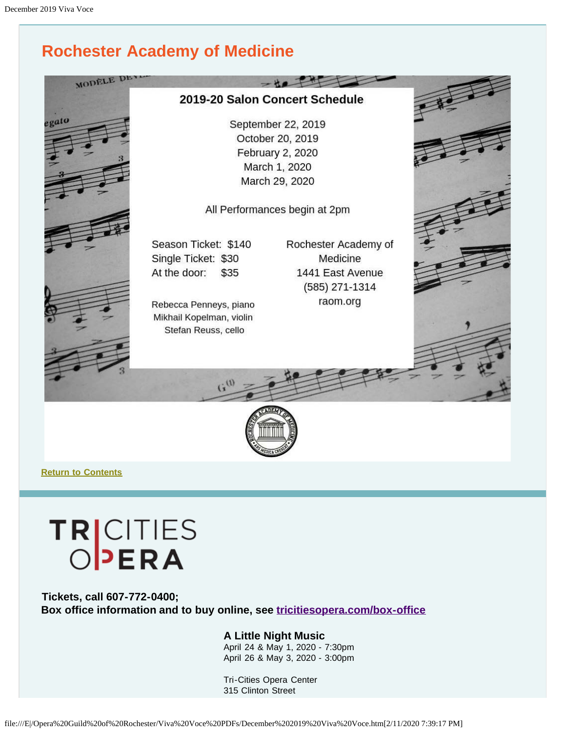# **Rochester Academy of Medicine**

<span id="page-9-0"></span>

**[Return to Contents](#page-0-0)**

# TRICITIES

<span id="page-9-1"></span>**Tickets, call 607-772-0400; Box office information and to buy online, see [tricitiesopera.com/box-office](http://tricitiesopera.com/box-office)**

## **A Little Night Music**

April 24 & May 1, 2020 - 7:30pm April 26 & May 3, 2020 - 3:00pm

Tri-Cities Opera Center 315 Clinton Street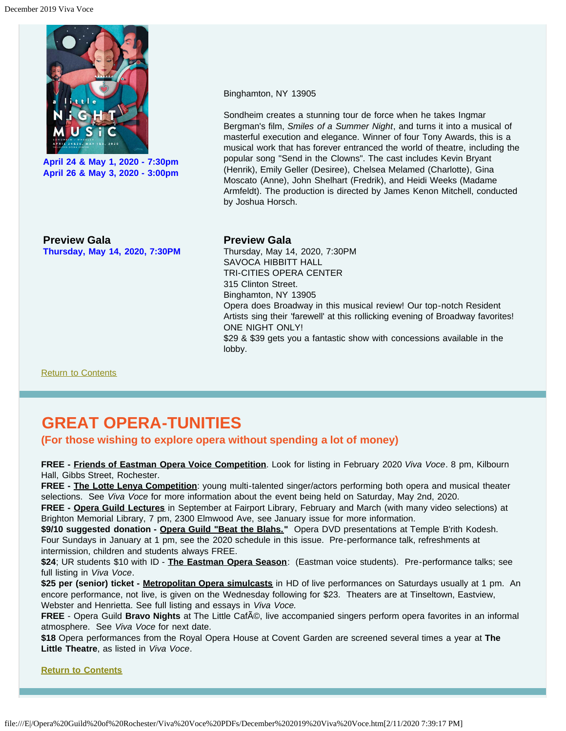

**April 24 & May 1, 2020 - 7:30pm April 26 & May 3, 2020 - 3:00pm**

Binghamton, NY 13905

Sondheim creates a stunning tour de force when he takes Ingmar Bergman's film, *Smiles of a Summer Night*, and turns it into a musical of masterful execution and elegance. Winner of four Tony Awards, this is a musical work that has forever entranced the world of theatre, including the popular song "Send in the Clowns". The cast includes Kevin Bryant (Henrik), Emily Geller (Desiree), Chelsea Melamed (Charlotte), Gina Moscato (Anne), John Shelhart (Fredrik), and Heidi Weeks (Madame Armfeldt). The production is directed by James Kenon Mitchell, conducted by Joshua Horsch.

**Preview Gala Thursday, May 14, 2020, 7:30PM**

### **Preview Gala**

Thursday, May 14, 2020, 7:30PM SAVOCA HIBBITT HALL TRI-CITIES OPERA CENTER 315 Clinton Street. Binghamton, NY 13905 Opera does Broadway in this musical review! Our top-notch Resident Artists sing their 'farewell' at this rollicking evening of Broadway favorites! ONE NIGHT ONLY! \$29 & \$39 gets you a fantastic show with concessions available in the lobby.

[Return to Contents](#page-0-0)

# <span id="page-10-0"></span>**GREAT OPERA-TUNITIES**

## **(For those wishing to explore opera without spending a lot of money)**

**FREE - Friends of Eastman Opera Voice Competition**. Look for listing in February 2020 *Viva Voce*. 8 pm, Kilbourn Hall, Gibbs Street, Rochester.

**FREE - The Lotte Lenya Competition**: young multi-talented singer/actors performing both opera and musical theater selections. See *Viva Voce* for more information about the event being held on Saturday, May 2nd, 2020.

**FREE - Opera Guild Lectures** in September at Fairport Library, February and March (with many video selections) at Brighton Memorial Library, 7 pm, 2300 Elmwood Ave, see January issue for more information.

\$9/10 suggested donation - Opera Guild "Beat the Blahs." Opera DVD presentations at Temple B'rith Kodesh. Four Sundays in January at 1 pm, see the 2020 schedule in this issue. Pre-performance talk, refreshments at intermission, children and students always FREE.

**\$24**; UR students \$10 with ID - **The Eastman Opera Season**: (Eastman voice students). Pre-performance talks; see full listing in *Viva Voce*.

**\$25 per (senior) ticket - Metropolitan Opera simulcasts** in HD of live performances on Saturdays usually at 1 pm. An encore performance, not live, is given on the Wednesday following for \$23. Theaters are at Tinseltown, Eastview, Webster and Henrietta. See full listing and essays in *Viva Voce.*

**FREE** - Opera Guild **Bravo Nights** at The Little Caf©, live accompanied singers perform opera favorites in an informal atmosphere. See *Viva Voce* for next date.

**\$18** Opera performances from the Royal Opera House at Covent Garden are screened several times a year at **The Little Theatre**, as listed in *Viva Voce*.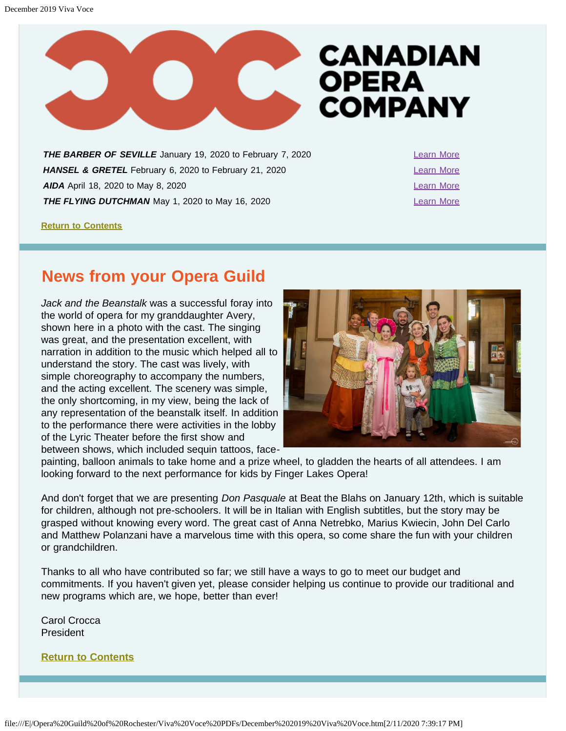

<span id="page-11-1"></span>**THE BARBER OF SEVILLE** January 19, 2020 to February 7, 2020 [Learn More](https://www.coc.ca/productions/18712) **HANSEL & GRETEL** February 6, 2020 to February 21, 2020 **[Learn More](https://www.coc.ca/productions/18719) AIDA** April 18, 2020 to May 8, 2020 **[Learn More](https://www.coc.ca/productions/18731) THE FLYING DUTCHMAN** May 1, 2020 to May 16, 2020

**[Return to Contents](#page-0-0)**

# <span id="page-11-0"></span>**News from your Opera Guild**

*Jack and the Beanstalk* was a successful foray into the world of opera for my granddaughter Avery, shown here in a photo with the cast. The singing was great, and the presentation excellent, with narration in addition to the music which helped all to understand the story. The cast was lively, with simple choreography to accompany the numbers, and the acting excellent. The scenery was simple, the only shortcoming, in my view, being the lack of any representation of the beanstalk itself. In addition to the performance there were activities in the lobby of the Lyric Theater before the first show and between shows, which included sequin tattoos, face-



painting, balloon animals to take home and a prize wheel, to gladden the hearts of all attendees. I am looking forward to the next performance for kids by Finger Lakes Opera!

And don't forget that we are presenting *Don Pasquale* at Beat the Blahs on January 12th, which is suitable for children, although not pre-schoolers. It will be in Italian with English subtitles, but the story may be grasped without knowing every word. The great cast of Anna Netrebko, Marius Kwiecin, John Del Carlo and Matthew Polanzani have a marvelous time with this opera, so come share the fun with your children or grandchildren.

Thanks to all who have contributed so far; we still have a ways to go to meet our budget and commitments. If you haven't given yet, please consider helping us continue to provide our traditional and new programs which are, we hope, better than ever!

Carol Crocca President